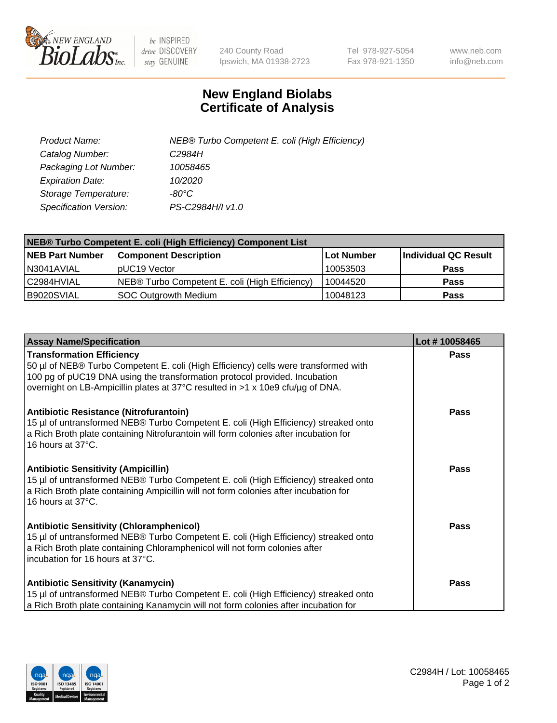

 $be$  INSPIRED drive DISCOVERY stay GENUINE

240 County Road Ipswich, MA 01938-2723 Tel 978-927-5054 Fax 978-921-1350 www.neb.com info@neb.com

## **New England Biolabs Certificate of Analysis**

| Product Name:           | NEB® Turbo Competent E. coli (High Efficiency) |
|-------------------------|------------------------------------------------|
| Catalog Number:         | C <sub>2984</sub> H                            |
| Packaging Lot Number:   | 10058465                                       |
| <b>Expiration Date:</b> | 10/2020                                        |
| Storage Temperature:    | -80°C                                          |
| Specification Version:  | PS-C2984H/I v1.0                               |

| NEB® Turbo Competent E. coli (High Efficiency) Component List |                                                |            |                      |  |
|---------------------------------------------------------------|------------------------------------------------|------------|----------------------|--|
| <b>NEB Part Number</b>                                        | <b>Component Description</b>                   | Lot Number | Individual QC Result |  |
| N3041AVIAL                                                    | pUC19 Vector                                   | 10053503   | <b>Pass</b>          |  |
| C2984HVIAL                                                    | NEB® Turbo Competent E. coli (High Efficiency) | 10044520   | <b>Pass</b>          |  |
| B9020SVIAL                                                    | <b>SOC Outgrowth Medium</b>                    | 10048123   | <b>Pass</b>          |  |

| <b>Assay Name/Specification</b>                                                                                                                                                                                                                                                         | Lot #10058465 |
|-----------------------------------------------------------------------------------------------------------------------------------------------------------------------------------------------------------------------------------------------------------------------------------------|---------------|
| <b>Transformation Efficiency</b><br>50 µl of NEB® Turbo Competent E. coli (High Efficiency) cells were transformed with<br>100 pg of pUC19 DNA using the transformation protocol provided. Incubation<br>overnight on LB-Ampicillin plates at 37°C resulted in >1 x 10e9 cfu/µg of DNA. | <b>Pass</b>   |
| Antibiotic Resistance (Nitrofurantoin)<br>15 µl of untransformed NEB® Turbo Competent E. coli (High Efficiency) streaked onto<br>a Rich Broth plate containing Nitrofurantoin will form colonies after incubation for<br>16 hours at 37°C.                                              | Pass          |
| <b>Antibiotic Sensitivity (Ampicillin)</b><br>15 µl of untransformed NEB® Turbo Competent E. coli (High Efficiency) streaked onto<br>a Rich Broth plate containing Ampicillin will not form colonies after incubation for<br>16 hours at 37°C.                                          | <b>Pass</b>   |
| <b>Antibiotic Sensitivity (Chloramphenicol)</b><br>15 µl of untransformed NEB® Turbo Competent E. coli (High Efficiency) streaked onto<br>a Rich Broth plate containing Chloramphenicol will not form colonies after<br>incubation for 16 hours at 37°C.                                | <b>Pass</b>   |
| <b>Antibiotic Sensitivity (Kanamycin)</b><br>15 µl of untransformed NEB® Turbo Competent E. coli (High Efficiency) streaked onto<br>a Rich Broth plate containing Kanamycin will not form colonies after incubation for                                                                 | Pass          |